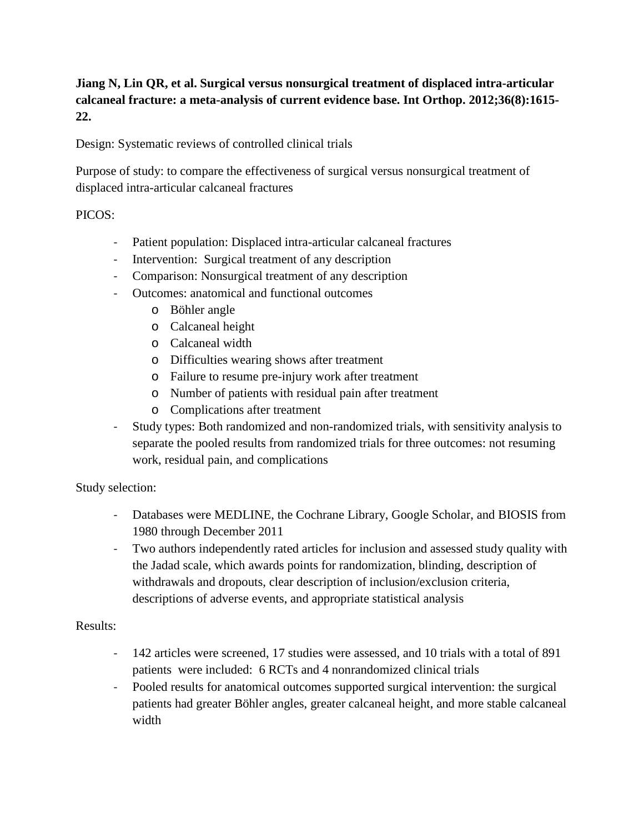# **Jiang N, Lin QR, et al. Surgical versus nonsurgical treatment of displaced intra-articular calcaneal fracture: a meta-analysis of current evidence base. Int Orthop. 2012;36(8):1615- 22.**

Design: Systematic reviews of controlled clinical trials

Purpose of study: to compare the effectiveness of surgical versus nonsurgical treatment of displaced intra-articular calcaneal fractures

### PICOS:

- Patient population: Displaced intra-articular calcaneal fractures
- Intervention: Surgical treatment of any description
- Comparison: Nonsurgical treatment of any description
- Outcomes: anatomical and functional outcomes
	- o Böhler angle
	- o Calcaneal height
	- o Calcaneal width
	- o Difficulties wearing shows after treatment
	- o Failure to resume pre-injury work after treatment
	- o Number of patients with residual pain after treatment
	- o Complications after treatment
- Study types: Both randomized and non-randomized trials, with sensitivity analysis to separate the pooled results from randomized trials for three outcomes: not resuming work, residual pain, and complications

#### Study selection:

- Databases were MEDLINE, the Cochrane Library, Google Scholar, and BIOSIS from 1980 through December 2011
- Two authors independently rated articles for inclusion and assessed study quality with the Jadad scale, which awards points for randomization, blinding, description of withdrawals and dropouts, clear description of inclusion/exclusion criteria, descriptions of adverse events, and appropriate statistical analysis

#### Results:

- 142 articles were screened, 17 studies were assessed, and 10 trials with a total of 891 patients were included: 6 RCTs and 4 nonrandomized clinical trials
- Pooled results for anatomical outcomes supported surgical intervention: the surgical patients had greater Böhler angles, greater calcaneal height, and more stable calcaneal width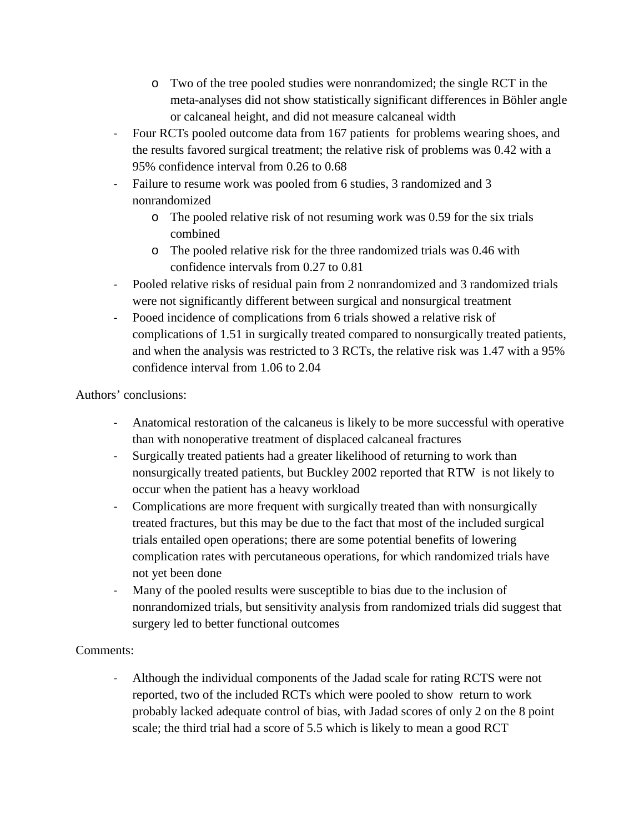- o Two of the tree pooled studies were nonrandomized; the single RCT in the meta-analyses did not show statistically significant differences in Böhler angle or calcaneal height, and did not measure calcaneal width
- Four RCTs pooled outcome data from 167 patients for problems wearing shoes, and the results favored surgical treatment; the relative risk of problems was 0.42 with a 95% confidence interval from 0.26 to 0.68
- Failure to resume work was pooled from 6 studies, 3 randomized and 3 nonrandomized
	- o The pooled relative risk of not resuming work was 0.59 for the six trials combined
	- o The pooled relative risk for the three randomized trials was 0.46 with confidence intervals from 0.27 to 0.81
- Pooled relative risks of residual pain from 2 nonrandomized and 3 randomized trials were not significantly different between surgical and nonsurgical treatment
- Pooed incidence of complications from 6 trials showed a relative risk of complications of 1.51 in surgically treated compared to nonsurgically treated patients, and when the analysis was restricted to 3 RCTs, the relative risk was 1.47 with a 95% confidence interval from 1.06 to 2.04

Authors' conclusions:

- Anatomical restoration of the calcaneus is likely to be more successful with operative than with nonoperative treatment of displaced calcaneal fractures
- Surgically treated patients had a greater likelihood of returning to work than nonsurgically treated patients, but Buckley 2002 reported that RTW is not likely to occur when the patient has a heavy workload
- Complications are more frequent with surgically treated than with nonsurgically treated fractures, but this may be due to the fact that most of the included surgical trials entailed open operations; there are some potential benefits of lowering complication rates with percutaneous operations, for which randomized trials have not yet been done
- Many of the pooled results were susceptible to bias due to the inclusion of nonrandomized trials, but sensitivity analysis from randomized trials did suggest that surgery led to better functional outcomes

# Comments:

- Although the individual components of the Jadad scale for rating RCTS were not reported, two of the included RCTs which were pooled to show return to work probably lacked adequate control of bias, with Jadad scores of only 2 on the 8 point scale; the third trial had a score of 5.5 which is likely to mean a good RCT